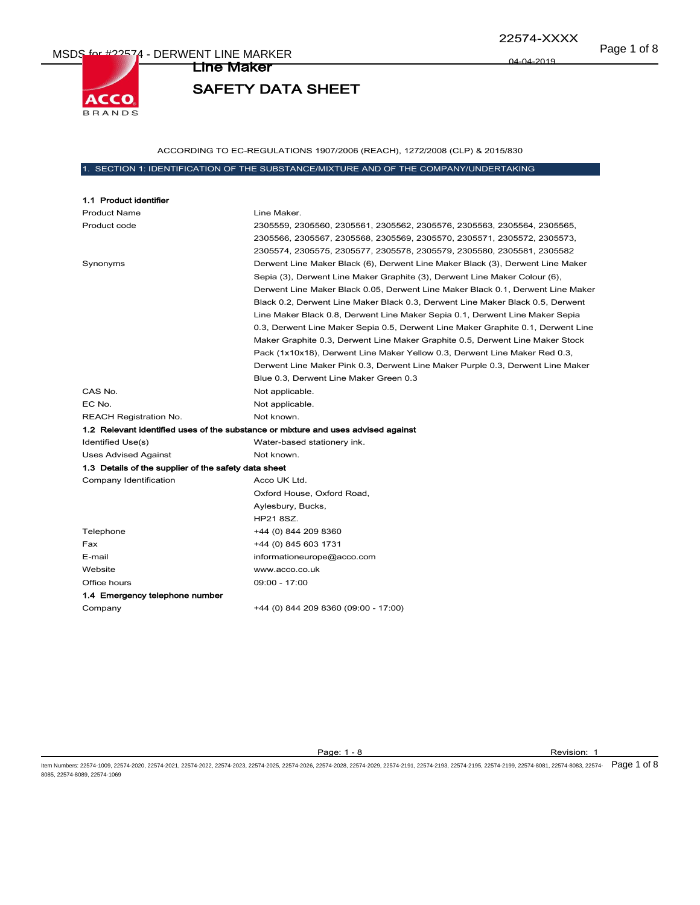Page 1 of 8 MSDS for #22574 - DERWENT LINE MARKER



22574-XXXX

04-04-2019

# SAFETY DATA SHEET

Line Maker

ACCORDING TO EC-REGULATIONS 1907/2006 (REACH), 1272/2008 (CLP) & 2015/830

## 1. SECTION 1: IDENTIFICATION OF THE SUBSTANCE/MIXTURE AND OF THE COMPANY/UNDERTAKING

| 1.1 Product identifier                               |                                                                                   |
|------------------------------------------------------|-----------------------------------------------------------------------------------|
| <b>Product Name</b>                                  | Line Maker.                                                                       |
| Product code                                         | 2305559, 2305560, 2305561, 2305562, 2305576, 2305563, 2305564, 2305565,           |
|                                                      | 2305566, 2305567, 2305568, 2305569, 2305570, 2305571, 2305572, 2305573,           |
|                                                      | 2305574, 2305575, 2305577, 2305578, 2305579, 2305580, 2305581, 2305582            |
| Synonyms                                             | Derwent Line Maker Black (6), Derwent Line Maker Black (3), Derwent Line Maker    |
|                                                      | Sepia (3), Derwent Line Maker Graphite (3), Derwent Line Maker Colour (6),        |
|                                                      | Derwent Line Maker Black 0.05, Derwent Line Maker Black 0.1, Derwent Line Maker   |
|                                                      | Black 0.2, Derwent Line Maker Black 0.3, Derwent Line Maker Black 0.5, Derwent    |
|                                                      | Line Maker Black 0.8, Derwent Line Maker Sepia 0.1, Derwent Line Maker Sepia      |
|                                                      | 0.3, Derwent Line Maker Sepia 0.5, Derwent Line Maker Graphite 0.1, Derwent Line  |
|                                                      | Maker Graphite 0.3, Derwent Line Maker Graphite 0.5, Derwent Line Maker Stock     |
|                                                      | Pack (1x10x18), Derwent Line Maker Yellow 0.3, Derwent Line Maker Red 0.3,        |
|                                                      | Derwent Line Maker Pink 0.3, Derwent Line Maker Purple 0.3, Derwent Line Maker    |
|                                                      | Blue 0.3, Derwent Line Maker Green 0.3                                            |
| CAS No.                                              | Not applicable.                                                                   |
| EC No.                                               | Not applicable.                                                                   |
| <b>REACH Registration No.</b>                        | Not known.                                                                        |
|                                                      | 1.2 Relevant identified uses of the substance or mixture and uses advised against |
| Identified Use(s)                                    | Water-based stationery ink.                                                       |
| Uses Advised Against                                 | Not known.                                                                        |
| 1.3 Details of the supplier of the safety data sheet |                                                                                   |
| Company Identification                               | Acco UK Ltd.                                                                      |
|                                                      | Oxford House, Oxford Road,                                                        |
|                                                      | Aylesbury, Bucks,                                                                 |
|                                                      | HP21 8SZ.                                                                         |
| Telephone                                            | +44 (0) 844 209 8360                                                              |
| Fax                                                  | +44 (0) 845 603 1731                                                              |
| E-mail                                               | informationeurope@acco.com                                                        |
| Website                                              | www.acco.co.uk                                                                    |
| Office hours                                         | 09:00 - 17:00                                                                     |
| 1.4 Emergency telephone number                       |                                                                                   |
| Company                                              | +44 (0) 844 209 8360 (09:00 - 17:00)                                              |

Page: 1 - 8 Revision: 1

ltem Numbers: 22574-1009, 22574-2020, 22574-2021, 22574-2022, 22574-2023, 22574-2026, 22574-2026, 22574-2028, 22574-2191, 22574-2193, 22574-2193, 22574-2199, 22574-8081, 22574-8080, 22574-8081, 22574-8083, 22574-8081, 2257 8085, 22574-8089, 22574-1069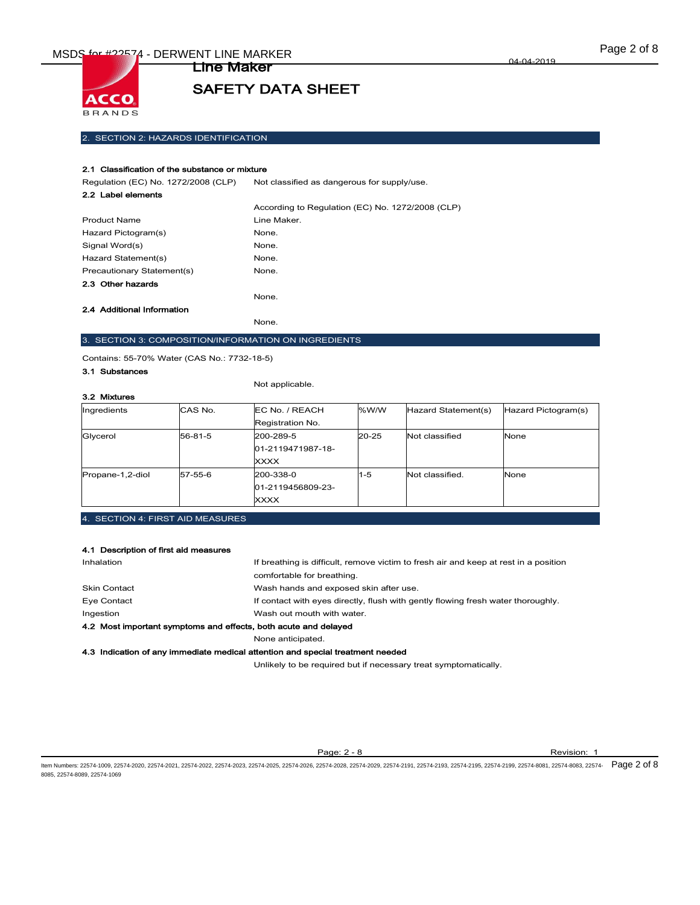

Line Maker

## 2. SECTION 2: HAZARDS IDENTIFICATION

#### 2.1 Classification of the substance or mixture

Regulation (EC) No. 1272/2008 (CLP) Not classified as dangerous for supply/use.

| 2.2 Label elements         |                                                  |
|----------------------------|--------------------------------------------------|
|                            | According to Regulation (EC) No. 1272/2008 (CLP) |
| <b>Product Name</b>        | Line Maker.                                      |
| Hazard Pictogram(s)        | None.                                            |
| Signal Word(s)             | None.                                            |
| Hazard Statement(s)        | None.                                            |
| Precautionary Statement(s) | None.                                            |
| 2.3 Other hazards          |                                                  |
|                            | None.                                            |
| 2.4 Additional Information |                                                  |
|                            | None.                                            |

3. SECTION 3: COMPOSITION/INFORMATION ON INGREDIENTS

Contains: 55-70% Water (CAS No.: 7732-18-5)

## 3.1 Substances

Not applicable.

| 3.2 Mixtures     |         |                   |           |                     |                     |
|------------------|---------|-------------------|-----------|---------------------|---------------------|
| Ingredients      | CAS No. | EC No. / REACH    | %W/W      | Hazard Statement(s) | Hazard Pictogram(s) |
|                  |         | Registration No.  |           |                     |                     |
| Glycerol         | 56-81-5 | 200-289-5         | $20 - 25$ | Not classified      | None                |
|                  |         | 01-2119471987-18- |           |                     |                     |
|                  |         | XXXX              |           |                     |                     |
| Propane-1,2-diol | 57-55-6 | 200-338-0         | $1 - 5$   | Not classified.     | None                |
|                  |         | 01-2119456809-23- |           |                     |                     |
|                  |         | XXXX              |           |                     |                     |

4. SECTION 4: FIRST AID MEASURES

#### 4.1 Description of first aid measures

| Inhalation                                                                     | If breathing is difficult, remove victim to fresh air and keep at rest in a position |  |
|--------------------------------------------------------------------------------|--------------------------------------------------------------------------------------|--|
|                                                                                | comfortable for breathing.                                                           |  |
| <b>Skin Contact</b>                                                            | Wash hands and exposed skin after use.                                               |  |
| Eye Contact                                                                    | If contact with eyes directly, flush with gently flowing fresh water thoroughly.     |  |
| Ingestion                                                                      | Wash out mouth with water.                                                           |  |
| 4.2 Most important symptoms and effects, both acute and delayed                |                                                                                      |  |
|                                                                                | None anticipated.                                                                    |  |
| 4.3 Indication of any immediate medical attention and special treatment needed |                                                                                      |  |

Unlikely to be required but if necessary treat symptomatically.

Page: 2 - 8 Revision: 1

ltem Numbers: 22574-1009, 22574-2020, 22574-2021, 22574-2022, 22574-2023, 22574-2026, 22574-2026, 22574-2028, 22574-2191, 22574-2193, 22574-2193, 22574-2198, 22574-8081, 22574-8081, 22574-8083, 22574-8083, 22574-8081, 2257 8085, 22574-8089, 22574-1069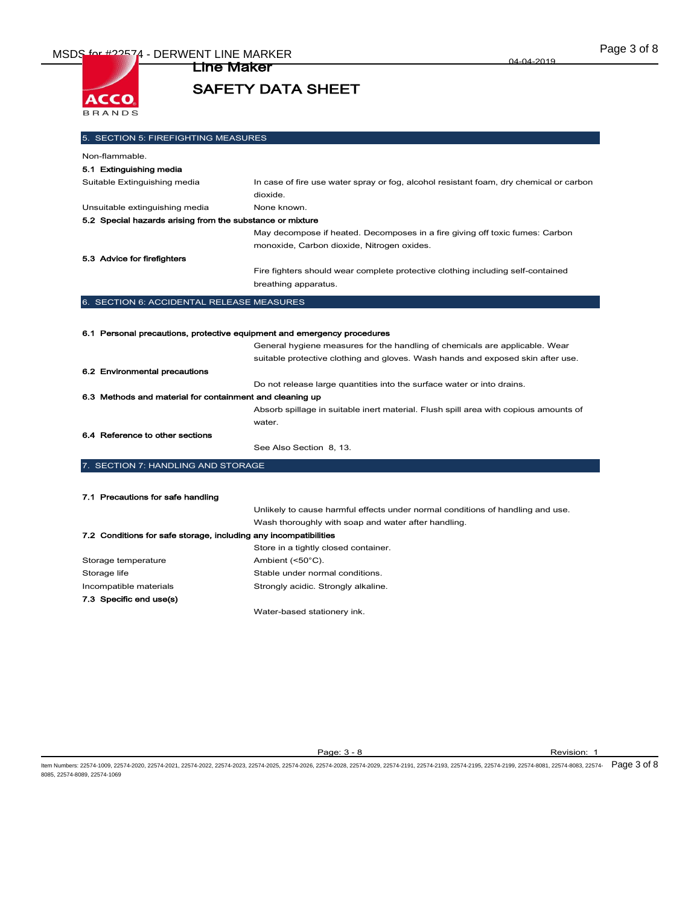

Line Maker

04-04-2019

## 5. SECTION 5: FIREFIGHTING MEASURES Non-flammable. 5.1 Extinguishing media Suitable Extinguishing media In case of fire use water spray or fog, alcohol resistant foam, dry chemical or carbon dioxide. Unsuitable extinguishing media None known. 5.2 Special hazards arising from the substance or mixture May decompose if heated. Decomposes in a fire giving off toxic fumes: Carbon monoxide, Carbon dioxide, Nitrogen oxides. 5.3 Advice for firefighters Fire fighters should wear complete protective clothing including self-contained breathing apparatus. 6. SECTION 6: ACCIDENTAL RELEASE MEASURES 6.1 Personal precautions, protective equipment and emergency procedures General hygiene measures for the handling of chemicals are applicable. Wear suitable protective clothing and gloves. Wash hands and exposed skin after use. 6.2 Environmental precautions Do not release large quantities into the surface water or into drains. 6.3 Methods and material for containment and cleaning up Absorb spillage in suitable inert material. Flush spill area with copious amounts of water. 6.4 Reference to other sections See Also Section 8, 13. 7. SECTION 7: HANDLING AND STORAGE 7.1 Precautions for safe handling Unlikely to cause harmful effects under normal conditions of handling and use. Wash thoroughly with soap and water after handling. 7.2 Conditions for safe storage, including any incompatibilities Store in a tightly closed container. Storage temperature Ambient (<50°C). Storage life Storage Internal conditions. Incompatible materials **Strongly acidic.** Strongly alkaline. 7.3 Specific end use(s)

Water-based stationery ink.

Page: 3 - 8 Revision: 1

ltem Numbers: 22574-1009, 22574-2020, 22574-2021, 22574-2022, 22574-2023, 22574-2026, 22574-2026, 22574-2028, 22574-2191, 22574-2193, 22574-2193, 22574-2199, 22574-2198, 22574-8081, 22574-8081, 22574-8083, 22574-8081, 2257 8085, 22574-8089, 22574-1069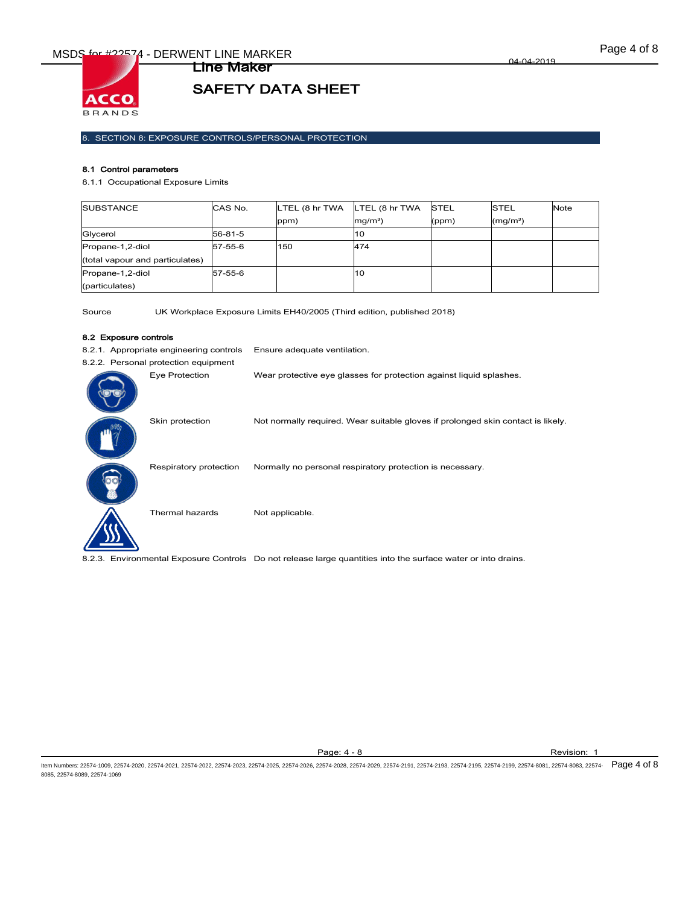

## 8. SECTION 8: EXPOSURE CONTROLS/PERSONAL PROTECTION

Line Maker

#### 8.1 Control parameters

8.1.1 Occupational Exposure Limits

| <b>SUBSTANCE</b>                | CAS No. | LTEL (8 hr TWA | LTEL (8 hr TWA    | <b>STEL</b> | <b>STEL</b>          | <b>Note</b> |
|---------------------------------|---------|----------------|-------------------|-------------|----------------------|-------------|
|                                 |         | ppm)           | mg/m <sup>3</sup> | (ppm)       | (mq/m <sup>3</sup> ) |             |
| Glycerol                        | 56-81-5 |                | 10                |             |                      |             |
| Propane-1,2-diol                | 57-55-6 | 150            | 474               |             |                      |             |
| (total vapour and particulates) |         |                |                   |             |                      |             |
| Propane-1,2-diol                | 57-55-6 |                | 10                |             |                      |             |
| (particulates)                  |         |                |                   |             |                      |             |

Source UK Workplace Exposure Limits EH40/2005 (Third edition, published 2018)

#### 8.2 Exposure controls

8.2.1. Appropriate engineering controls Ensure adequate ventilation.

| 8.2.2. Personal protection equipment |                                                                                  |
|--------------------------------------|----------------------------------------------------------------------------------|
| Eye Protection                       | Wear protective eye glasses for protection against liquid splashes.              |
| Skin protection                      | Not normally required. Wear suitable gloves if prolonged skin contact is likely. |
| Respiratory protection               | Normally no personal respiratory protection is necessary.                        |
| Thermal hazards                      | Not applicable.                                                                  |

8.2.3. Environmental Exposure Controls Do not release large quantities into the surface water or into drains.

Page: 4 - 8 Revision: 1

ltem Numbers: 22574-1009, 22574-2020, 22574-2021, 22574-2022, 22574-2023, 22574-2026, 22574-2026, 22574-2028, 22574-2191, 22574-2193, 22574-2193, 22574-2198, 22574-8081, 22574-8081, 22574-8083, 22574-8081, 22574-8081, 2257 8085, 22574-8089, 22574-1069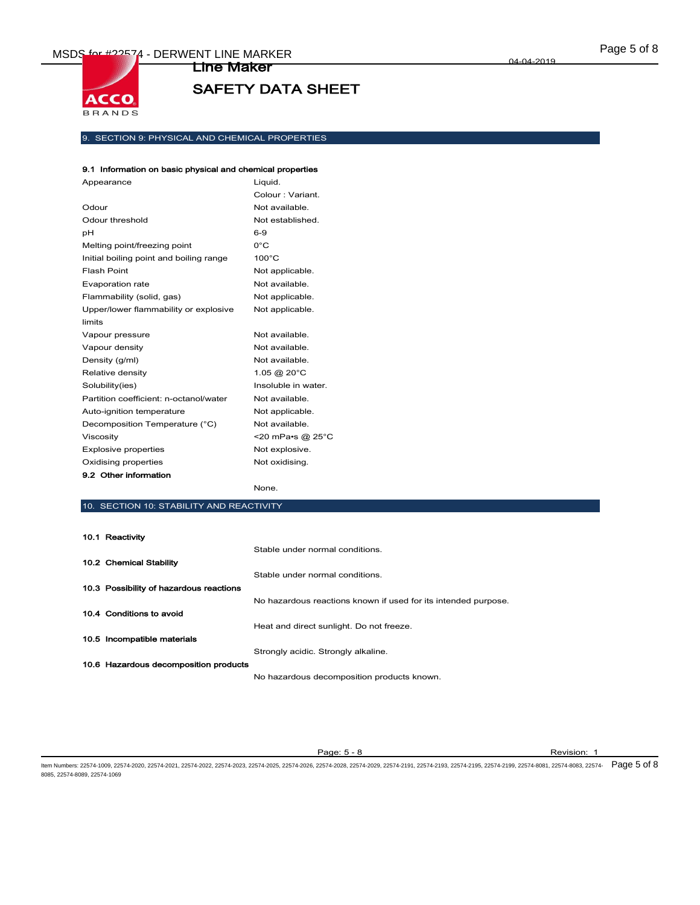

## 9. SECTION 9: PHYSICAL AND CHEMICAL PROPERTIES

## 9.1 Information on basic physical and chemical properties

| Appearance                              | Liguid.             |
|-----------------------------------------|---------------------|
|                                         | Colour: Variant.    |
| Odour                                   | Not available.      |
| Odour threshold                         | Not established.    |
| рH                                      | $6-9$               |
| Melting point/freezing point            | $0^{\circ}$ C       |
| Initial boiling point and boiling range | $100^{\circ}$ C     |
| Flash Point                             | Not applicable.     |
| <b>Evaporation rate</b>                 | Not available.      |
| Flammability (solid, gas)               | Not applicable.     |
| Upper/lower flammability or explosive   | Not applicable.     |
| limits                                  |                     |
| Vapour pressure                         | Not available.      |
| Vapour density                          | Not available.      |
| Density (g/ml)                          | Not available.      |
| Relative density                        | 1.05 @ 20°C         |
| Solubility(ies)                         | Insoluble in water. |
| Partition coefficient: n-octanol/water  | Not available.      |
| Auto-ignition temperature               | Not applicable.     |
| Decomposition Temperature (°C)          | Not available.      |
| Viscosity                               | <20 mPa•s @ 25°C    |
| <b>Explosive properties</b>             | Not explosive.      |
| Oxidising properties                    | Not oxidising.      |
| 9.2 Other information                   |                     |
|                                         | None.               |

## 10. SECTION 10: STABILITY AND REACTIVITY

| 10.1 Reactivity                         |                                                                |
|-----------------------------------------|----------------------------------------------------------------|
|                                         | Stable under normal conditions.                                |
| 10.2 Chemical Stability                 |                                                                |
|                                         | Stable under normal conditions.                                |
| 10.3 Possibility of hazardous reactions |                                                                |
|                                         | No hazardous reactions known if used for its intended purpose. |
| 10.4 Conditions to avoid                |                                                                |
|                                         | Heat and direct sunlight. Do not freeze.                       |
| 10.5 Incompatible materials             |                                                                |
|                                         | Strongly acidic. Strongly alkaline.                            |
| 10.6 Hazardous decomposition products   |                                                                |
|                                         | No hazardous decomposition products known.                     |

Page: 5 - 8 Revision: 1

ltem Numbers: 22574-1009, 22574-2020, 22574-2021, 22574-2022, 22574-2023, 22574-2026, 22574-2026, 22574-2028, 22574-2191, 22574-2193, 22574-2193, 22574-2198, 22574-8081, 22574-8081, 22574-8083, 22574-8083, 22574-8081, 2257 8085, 22574-8089, 22574-1069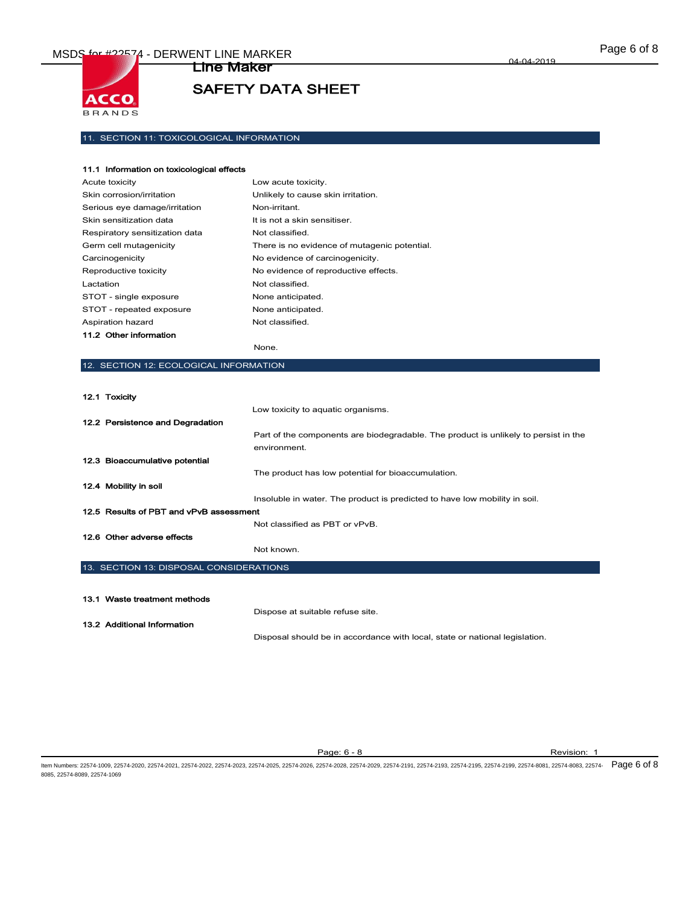

Line Maker

## 11. SECTION 11: TOXICOLOGICAL INFORMATION

| 11.1 Information on toxicological effects |                                              |
|-------------------------------------------|----------------------------------------------|
| Acute toxicity                            | Low acute toxicity.                          |
| Skin corrosion/irritation                 | Unlikely to cause skin irritation.           |
| Serious eye damage/irritation             | Non-irritant.                                |
| Skin sensitization data                   | It is not a skin sensitiser.                 |
| Respiratory sensitization data            | Not classified.                              |
| Germ cell mutagenicity                    | There is no evidence of mutagenic potential. |
| Carcinogenicity                           | No evidence of carcinogenicity.              |
| Reproductive toxicity                     | No evidence of reproductive effects.         |
| Lactation                                 | Not classified.                              |
| STOT - single exposure                    | None anticipated.                            |
| STOT - repeated exposure                  | None anticipated.                            |
| Aspiration hazard                         | Not classified.                              |
| 11.2 Other information                    |                                              |

None.

#### 12. SECTION 12: ECOLOGICAL INFORMATION

12.1 Toxicity

8085, 22574-8089, 22574-1069

|                                         |                                                                                                                                                                                                                                                                                                                                                                          | Low toxicity to aquatic organisms.                                                                  |
|-----------------------------------------|--------------------------------------------------------------------------------------------------------------------------------------------------------------------------------------------------------------------------------------------------------------------------------------------------------------------------------------------------------------------------|-----------------------------------------------------------------------------------------------------|
|                                         | 12.2 Persistence and Degradation                                                                                                                                                                                                                                                                                                                                         |                                                                                                     |
|                                         |                                                                                                                                                                                                                                                                                                                                                                          | Part of the components are biodegradable. The product is unlikely to persist in the<br>environment. |
|                                         | 12.3 Bioaccumulative potential                                                                                                                                                                                                                                                                                                                                           |                                                                                                     |
|                                         |                                                                                                                                                                                                                                                                                                                                                                          | The product has low potential for bioaccumulation.                                                  |
|                                         | 12.4 Mobility in soil                                                                                                                                                                                                                                                                                                                                                    |                                                                                                     |
|                                         |                                                                                                                                                                                                                                                                                                                                                                          | Insoluble in water. The product is predicted to have low mobility in soil.                          |
| 12.5 Results of PBT and vPvB assessment |                                                                                                                                                                                                                                                                                                                                                                          |                                                                                                     |
|                                         |                                                                                                                                                                                                                                                                                                                                                                          | Not classified as PBT or vPvB.                                                                      |
|                                         | 12.6 Other adverse effects                                                                                                                                                                                                                                                                                                                                               |                                                                                                     |
|                                         | $\overline{10}$ $\overline{0}$ $\overline{0}$ $\overline{10}$ $\overline{10}$ $\overline{10}$ $\overline{0}$ $\overline{0}$ $\overline{0}$ $\overline{0}$ $\overline{0}$ $\overline{10}$ $\overline{10}$ $\overline{10}$ $\overline{10}$ $\overline{10}$ $\overline{10}$ $\overline{10}$ $\overline{10}$ $\overline{10}$ $\overline{10}$ $\overline{10}$ $\overline{10}$ | Not known.                                                                                          |

#### 13. SECTION 13: DISPOSAL CONSIDERATIONS

| 13.1 Waste treatment methods |  |
|------------------------------|--|
| 13.2 Additional Information  |  |

Dispose at suitable refuse site.

Disposal should be in accordance with local, state or national legislation.

Page: 6 - 8 Revision: 1 ltem Numbers: 22574-1009, 22574-2020, 22574-2021, 22574-2022, 22574-2023, 22574-2026, 22574-2026, 22574-2028, 22574-2191, 22574-2193, 22574-2193, 22574-2199, 22574-2198, 22574-8081, 22574-8080, 22574-8083, 22574-8081, 2257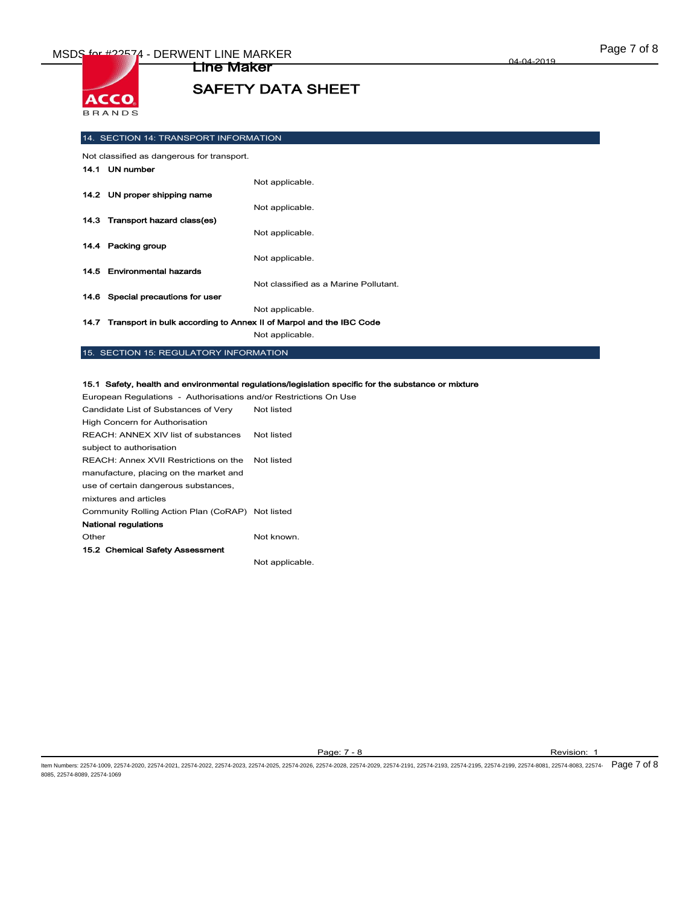

14. SECTION 14: TRANSPORT INFORMATION

Not classified as dangerous for transport.

| 14.1 UN number                    |                                       |
|-----------------------------------|---------------------------------------|
|                                   | Not applicable.                       |
| 14.2 UN proper shipping name      |                                       |
|                                   | Not applicable.                       |
| 14.3 Transport hazard class(es)   |                                       |
|                                   | Not applicable.                       |
| 14.4 Packing group                |                                       |
|                                   | Not applicable.                       |
| 14.5 Environmental hazards        |                                       |
|                                   | Not classified as a Marine Pollutant. |
| 14.6 Special precautions for user |                                       |
|                                   | Not applicable.                       |
|                                   |                                       |

14.7 Transport in bulk according to Annex II of Marpol and the IBC Code

Not applicable.

## 15. SECTION 15: REGULATORY INFORMATION

#### 15.1 Safety, health and environmental regulations/legislation specific for the substance or mixture

European Regulations - Authorisations and/or Restrictions On Use Candidate List of Substances of Very High Concern for Authorisation Not listed REACH: ANNEX XIV list of substances Not listed subject to authorisation REACH: Annex XVII Restrictions on the Not listed manufacture, placing on the market and use of certain dangerous substances, mixtures and articles Community Rolling Action Plan (CoRAP) Not listed National regulations Other Not known. 15.2 Chemical Safety Assessment Not applicable.

Page: 7 - 8 Revision: 1

ltem Numbers: 22574-1009, 22574-2020, 22574-2021, 22574-2022, 22574-2023, 22574-2026, 22574-2026, 22574-2028, 22574-2191, 22574-2193, 22574-2193, 22574-2198, 22574-8081, 22574-8081, 22574-8083, 22574-8083, 22574-8081, 2257 8085, 22574-8089, 22574-1069